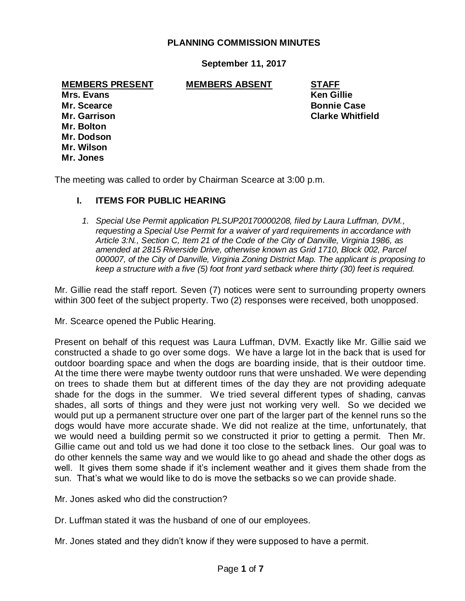#### **PLANNING COMMISSION MINUTES**

**September 11, 2017**

## **MEMBERS PRESENT MEMBERS ABSENT STAFF**

**Mrs. Evans Ken Gillie Mr. Scearce Bonnie Case Mr. Bolton Mr. Dodson Mr. Wilson Mr. Jones**

**Mr. Garrison Clarke Whitfield**

The meeting was called to order by Chairman Scearce at 3:00 p.m.

#### **I. ITEMS FOR PUBLIC HEARING**

*1. Special Use Permit application PLSUP20170000208, filed by Laura Luffman, DVM., requesting a Special Use Permit for a waiver of yard requirements in accordance with Article 3:N., Section C, Item 21 of the Code of the City of Danville, Virginia 1986, as amended at 2815 Riverside Drive, otherwise known as Grid 1710, Block 002, Parcel 000007, of the City of Danville, Virginia Zoning District Map. The applicant is proposing to keep a structure with a five (5) foot front yard setback where thirty (30) feet is required.*

Mr. Gillie read the staff report. Seven (7) notices were sent to surrounding property owners within 300 feet of the subject property. Two (2) responses were received, both unopposed.

Mr. Scearce opened the Public Hearing.

Present on behalf of this request was Laura Luffman, DVM. Exactly like Mr. Gillie said we constructed a shade to go over some dogs. We have a large lot in the back that is used for outdoor boarding space and when the dogs are boarding inside, that is their outdoor time. At the time there were maybe twenty outdoor runs that were unshaded. We were depending on trees to shade them but at different times of the day they are not providing adequate shade for the dogs in the summer. We tried several different types of shading, canvas shades, all sorts of things and they were just not working very well. So we decided we would put up a permanent structure over one part of the larger part of the kennel runs so the dogs would have more accurate shade. We did not realize at the time, unfortunately, that we would need a building permit so we constructed it prior to getting a permit. Then Mr. Gillie came out and told us we had done it too close to the setback lines. Our goal was to do other kennels the same way and we would like to go ahead and shade the other dogs as well. It gives them some shade if it's inclement weather and it gives them shade from the sun. That's what we would like to do is move the setbacks so we can provide shade.

Mr. Jones asked who did the construction?

Dr. Luffman stated it was the husband of one of our employees.

Mr. Jones stated and they didn't know if they were supposed to have a permit.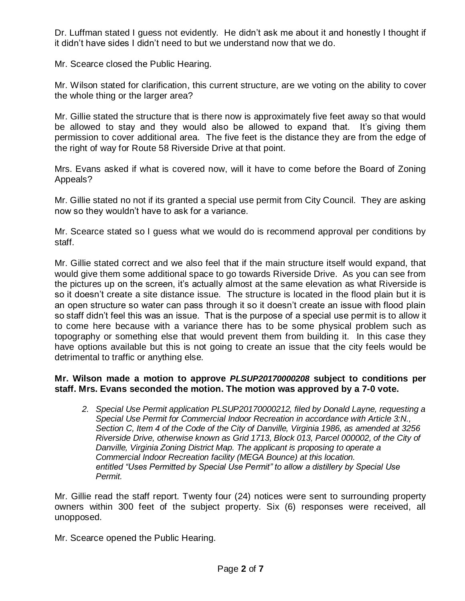Dr. Luffman stated I guess not evidently. He didn't ask me about it and honestly I thought if it didn't have sides I didn't need to but we understand now that we do.

Mr. Scearce closed the Public Hearing.

Mr. Wilson stated for clarification, this current structure, are we voting on the ability to cover the whole thing or the larger area?

Mr. Gillie stated the structure that is there now is approximately five feet away so that would be allowed to stay and they would also be allowed to expand that. It's giving them permission to cover additional area. The five feet is the distance they are from the edge of the right of way for Route 58 Riverside Drive at that point.

Mrs. Evans asked if what is covered now, will it have to come before the Board of Zoning Appeals?

Mr. Gillie stated no not if its granted a special use permit from City Council. They are asking now so they wouldn't have to ask for a variance.

Mr. Scearce stated so I guess what we would do is recommend approval per conditions by staff.

Mr. Gillie stated correct and we also feel that if the main structure itself would expand, that would give them some additional space to go towards Riverside Drive. As you can see from the pictures up on the screen, it's actually almost at the same elevation as what Riverside is so it doesn't create a site distance issue. The structure is located in the flood plain but it is an open structure so water can pass through it so it doesn't create an issue with flood plain so staff didn't feel this was an issue. That is the purpose of a special use permit is to allow it to come here because with a variance there has to be some physical problem such as topography or something else that would prevent them from building it. In this case they have options available but this is not going to create an issue that the city feels would be detrimental to traffic or anything else.

## **Mr. Wilson made a motion to approve** *PLSUP20170000208* **subject to conditions per staff. Mrs. Evans seconded the motion. The motion was approved by a 7-0 vote.**

*2. Special Use Permit application PLSUP20170000212, filed by Donald Layne, requesting a Special Use Permit for Commercial Indoor Recreation in accordance with Article 3:N., Section C, Item 4 of the Code of the City of Danville, Virginia 1986, as amended at 3256 Riverside Drive, otherwise known as Grid 1713, Block 013, Parcel 000002, of the City of Danville, Virginia Zoning District Map. The applicant is proposing to operate a Commercial Indoor Recreation facility (MEGA Bounce) at this location. entitled "Uses Permitted by Special Use Permit" to allow a distillery by Special Use Permit.*

Mr. Gillie read the staff report. Twenty four (24) notices were sent to surrounding property owners within 300 feet of the subject property. Six (6) responses were received, all unopposed.

Mr. Scearce opened the Public Hearing.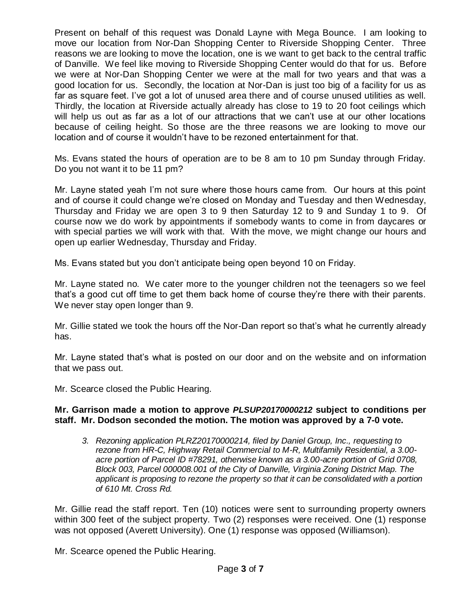Present on behalf of this request was Donald Layne with Mega Bounce. I am looking to move our location from Nor-Dan Shopping Center to Riverside Shopping Center. Three reasons we are looking to move the location, one is we want to get back to the central traffic of Danville. We feel like moving to Riverside Shopping Center would do that for us. Before we were at Nor-Dan Shopping Center we were at the mall for two years and that was a good location for us. Secondly, the location at Nor-Dan is just too big of a facility for us as far as square feet. I've got a lot of unused area there and of course unused utilities as well. Thirdly, the location at Riverside actually already has close to 19 to 20 foot ceilings which will help us out as far as a lot of our attractions that we can't use at our other locations because of ceiling height. So those are the three reasons we are looking to move our location and of course it wouldn't have to be rezoned entertainment for that.

Ms. Evans stated the hours of operation are to be 8 am to 10 pm Sunday through Friday. Do you not want it to be 11 pm?

Mr. Layne stated yeah I'm not sure where those hours came from. Our hours at this point and of course it could change we're closed on Monday and Tuesday and then Wednesday, Thursday and Friday we are open 3 to 9 then Saturday 12 to 9 and Sunday 1 to 9. Of course now we do work by appointments if somebody wants to come in from daycares or with special parties we will work with that. With the move, we might change our hours and open up earlier Wednesday, Thursday and Friday.

Ms. Evans stated but you don't anticipate being open beyond 10 on Friday.

Mr. Layne stated no. We cater more to the younger children not the teenagers so we feel that's a good cut off time to get them back home of course they're there with their parents. We never stay open longer than 9.

Mr. Gillie stated we took the hours off the Nor-Dan report so that's what he currently already has.

Mr. Layne stated that's what is posted on our door and on the website and on information that we pass out.

Mr. Scearce closed the Public Hearing.

#### **Mr. Garrison made a motion to approve** *PLSUP20170000212* **subject to conditions per staff. Mr. Dodson seconded the motion. The motion was approved by a 7-0 vote.**

*3. Rezoning application PLRZ20170000214, filed by Daniel Group, Inc., requesting to rezone from HR-C, Highway Retail Commercial to M-R, Multifamily Residential, a 3.00 acre portion of Parcel ID #78291, otherwise known as a 3.00-acre portion of Grid 0708, Block 003, Parcel 000008.001 of the City of Danville, Virginia Zoning District Map. The applicant is proposing to rezone the property so that it can be consolidated with a portion of 610 Mt. Cross Rd.* 

Mr. Gillie read the staff report. Ten (10) notices were sent to surrounding property owners within 300 feet of the subject property. Two (2) responses were received. One (1) response was not opposed (Averett University). One (1) response was opposed (Williamson).

Mr. Scearce opened the Public Hearing.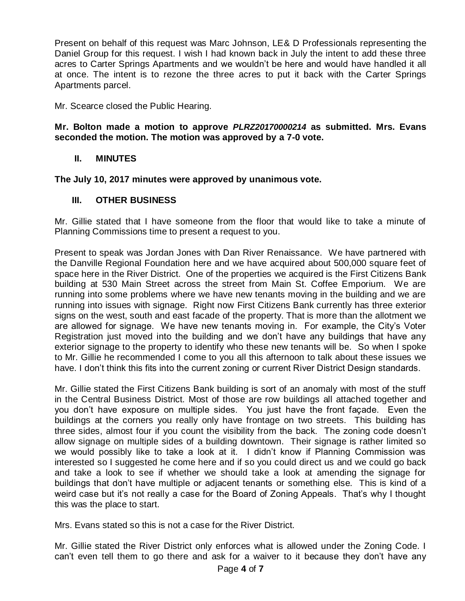Present on behalf of this request was Marc Johnson, LE& D Professionals representing the Daniel Group for this request. I wish I had known back in July the intent to add these three acres to Carter Springs Apartments and we wouldn't be here and would have handled it all at once. The intent is to rezone the three acres to put it back with the Carter Springs Apartments parcel.

Mr. Scearce closed the Public Hearing.

## **Mr. Bolton made a motion to approve** *PLRZ20170000214* **as submitted. Mrs. Evans seconded the motion. The motion was approved by a 7-0 vote.**

# **II. MINUTES**

**The July 10, 2017 minutes were approved by unanimous vote.**

# **III. OTHER BUSINESS**

Mr. Gillie stated that I have someone from the floor that would like to take a minute of Planning Commissions time to present a request to you.

Present to speak was Jordan Jones with Dan River Renaissance. We have partnered with the Danville Regional Foundation here and we have acquired about 500,000 square feet of space here in the River District. One of the properties we acquired is the First Citizens Bank building at 530 Main Street across the street from Main St. Coffee Emporium. We are running into some problems where we have new tenants moving in the building and we are running into issues with signage. Right now First Citizens Bank currently has three exterior signs on the west, south and east facade of the property. That is more than the allotment we are allowed for signage. We have new tenants moving in. For example, the City's Voter Registration just moved into the building and we don't have any buildings that have any exterior signage to the property to identify who these new tenants will be. So when I spoke to Mr. Gillie he recommended I come to you all this afternoon to talk about these issues we have. I don't think this fits into the current zoning or current River District Design standards.

Mr. Gillie stated the First Citizens Bank building is sort of an anomaly with most of the stuff in the Central Business District. Most of those are row buildings all attached together and you don't have exposure on multiple sides. You just have the front façade. Even the buildings at the corners you really only have frontage on two streets. This building has three sides, almost four if you count the visibility from the back. The zoning code doesn't allow signage on multiple sides of a building downtown. Their signage is rather limited so we would possibly like to take a look at it. I didn't know if Planning Commission was interested so I suggested he come here and if so you could direct us and we could go back and take a look to see if whether we should take a look at amending the signage for buildings that don't have multiple or adjacent tenants or something else. This is kind of a weird case but it's not really a case for the Board of Zoning Appeals. That's why I thought this was the place to start.

Mrs. Evans stated so this is not a case for the River District.

Mr. Gillie stated the River District only enforces what is allowed under the Zoning Code. I can't even tell them to go there and ask for a waiver to it because they don't have any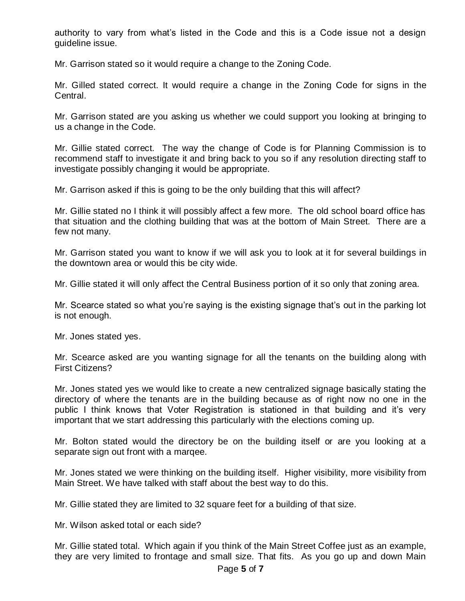authority to vary from what's listed in the Code and this is a Code issue not a design guideline issue.

Mr. Garrison stated so it would require a change to the Zoning Code.

Mr. Gilled stated correct. It would require a change in the Zoning Code for signs in the Central.

Mr. Garrison stated are you asking us whether we could support you looking at bringing to us a change in the Code.

Mr. Gillie stated correct. The way the change of Code is for Planning Commission is to recommend staff to investigate it and bring back to you so if any resolution directing staff to investigate possibly changing it would be appropriate.

Mr. Garrison asked if this is going to be the only building that this will affect?

Mr. Gillie stated no I think it will possibly affect a few more. The old school board office has that situation and the clothing building that was at the bottom of Main Street. There are a few not many.

Mr. Garrison stated you want to know if we will ask you to look at it for several buildings in the downtown area or would this be city wide.

Mr. Gillie stated it will only affect the Central Business portion of it so only that zoning area.

Mr. Scearce stated so what you're saying is the existing signage that's out in the parking lot is not enough.

Mr. Jones stated yes.

Mr. Scearce asked are you wanting signage for all the tenants on the building along with First Citizens?

Mr. Jones stated yes we would like to create a new centralized signage basically stating the directory of where the tenants are in the building because as of right now no one in the public I think knows that Voter Registration is stationed in that building and it's very important that we start addressing this particularly with the elections coming up.

Mr. Bolton stated would the directory be on the building itself or are you looking at a separate sign out front with a marqee.

Mr. Jones stated we were thinking on the building itself. Higher visibility, more visibility from Main Street. We have talked with staff about the best way to do this.

Mr. Gillie stated they are limited to 32 square feet for a building of that size.

Mr. Wilson asked total or each side?

Mr. Gillie stated total. Which again if you think of the Main Street Coffee just as an example, they are very limited to frontage and small size. That fits. As you go up and down Main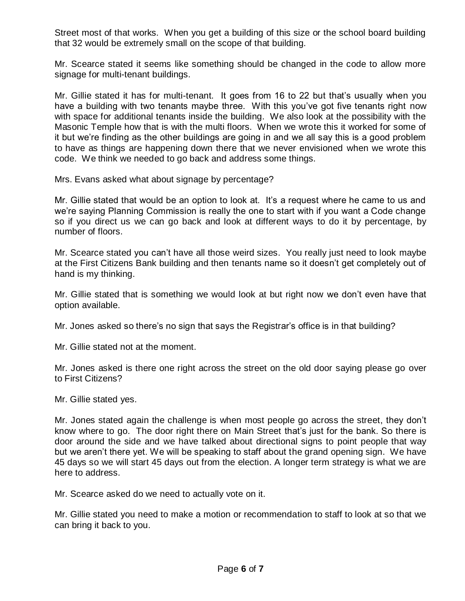Street most of that works. When you get a building of this size or the school board building that 32 would be extremely small on the scope of that building.

Mr. Scearce stated it seems like something should be changed in the code to allow more signage for multi-tenant buildings.

Mr. Gillie stated it has for multi-tenant. It goes from 16 to 22 but that's usually when you have a building with two tenants maybe three. With this you've got five tenants right now with space for additional tenants inside the building. We also look at the possibility with the Masonic Temple how that is with the multi floors. When we wrote this it worked for some of it but we're finding as the other buildings are going in and we all say this is a good problem to have as things are happening down there that we never envisioned when we wrote this code. We think we needed to go back and address some things.

Mrs. Evans asked what about signage by percentage?

Mr. Gillie stated that would be an option to look at. It's a request where he came to us and we're saying Planning Commission is really the one to start with if you want a Code change so if you direct us we can go back and look at different ways to do it by percentage, by number of floors.

Mr. Scearce stated you can't have all those weird sizes. You really just need to look maybe at the First Citizens Bank building and then tenants name so it doesn't get completely out of hand is my thinking.

Mr. Gillie stated that is something we would look at but right now we don't even have that option available.

Mr. Jones asked so there's no sign that says the Registrar's office is in that building?

Mr. Gillie stated not at the moment.

Mr. Jones asked is there one right across the street on the old door saying please go over to First Citizens?

Mr. Gillie stated yes.

Mr. Jones stated again the challenge is when most people go across the street, they don't know where to go. The door right there on Main Street that's just for the bank. So there is door around the side and we have talked about directional signs to point people that way but we aren't there yet. We will be speaking to staff about the grand opening sign. We have 45 days so we will start 45 days out from the election. A longer term strategy is what we are here to address.

Mr. Scearce asked do we need to actually vote on it.

Mr. Gillie stated you need to make a motion or recommendation to staff to look at so that we can bring it back to you.